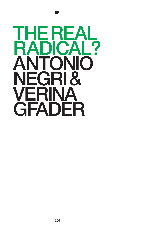

**EP**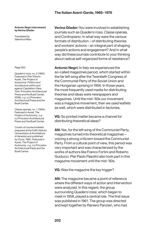#### **Antonio Negri interviewed by Verina Gfader**

Translated by Valentina Milan

Page 200:

*Quaderni rossi*, no. 2 (1962). Featured in Pier Vittorio Aureli, *The Project of Autonomy: Politics and Architecture within and against Capitalism* (New York: Princeton Architectural Press and the Buell Center, 2008), n.p. (c) Princeton Architectural Press and the Buell Center.

*Classe operaia*, no. 1 (1964). Featured in Aureli, *The Project of Autonomy*, n.p. (c) Princeton Architectural Press and the Buell Center.

Covers of course booklets prepared at the IUAV (Istituto Universitario di Architettura di Venezia) and published by Cluva, 1965. Featured in Aureli, *The Project of Autonomy*, n.p. (c) Princeton Architectural Press and the Buell Center.

**Verina Gfader:**You were involved in establishing journals such as *Quaderni rossi*, *Classe operaia*, and *Contropiano*. In what way were the various formats of distribution – of distributing theories and workers' actions – an integral part of shaping people's actions and engagement? And in what way did these journals contribute to your thinking about radical self-organized forms of resistance?

**Antonio Negri:** In Italy we experienced the so-called magazines period, which started within the far left wing after the Twentieth Congress of the Communist Party of the Soviet Union and the Hungarian uprising in 1956. In those years, the most frequently used media for distributing theories and ideas were newspapers and magazines. Until the mid-'60s our movement was a magazine movement, then we used leaflets as well, which were distributed in factories.

**VG:** So printed matter became a channel for distributing theoretical ideas?

**AN:**Yes, for the left wing of the Communist Party, magazines turned into theoretical magazines – voicing a strong criticism toward the Communist Party. From a cultural point of view, this period was very important and was characterized by the works of authors like Franco Fortini and Roberto Guiducci. Pier Paolo Pasolini also took part in this magazine movement until the mid-'60s.

**VG:** Was the magazine the key trigger?

**AN:** The magazine became a point of reference where the different ways of action and intervention were analyzed. In this regard, the group surrounding *Quaderni rossi*, which began to meet in 1958, played a central role. The first issue was published in 1961. The group was directed and kept together by Raniero Panzieri, who had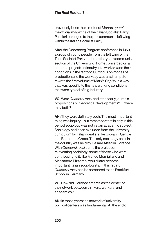previously been the director of *Mondo operaio*, the official magazine of the Italian Socialist Party. Panzieri belonged to the pro-communist left wing within the Italian Socialist Party.

After the Godesberg Program conference in 1959, a group of young people from the left wing of the Turin Socialist Party and from the youth communist section of the University of Rome converged on a common project: an inquiry into workers and their conditions in the factory. Our focus on modes of production and the workday was an attempt to rewrite the first volume of Marx's *Capital* in a way that was specific to the new working conditions that were typical of big industry.

**VG:** Were *Quaderni rossi* and other early journals propositions or theoretical developments? Or were they both?

**AN:** They were definitely both. The most important thing was inquiry – but remember that in Italy in this period sociology was not yet an academic subject. Sociology had been excluded from the university curriculum by Italian idealists like Giovanni Gentile and Benedetto Croce. The only sociology chair in the country was held by Cesare Alfieri in Florence. With *Quaderni rossi* came the project of reinventing sociology; some of those who were contributing to it, like Franco Momigliano and Alessandro Pizzorno, would later become important Italian sociologists. In this regard, *Quaderni rossi* can be compared to the Frankfurt School in Germany.

**VG:** How did Florence emerge as the center of the network between thinkers, workers, and academics?

**AN:** In those years the network of university political centers was fundamental. At the end of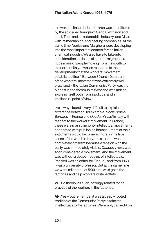the war, the Italian industrial area was constituted by the so-called triangle of Genoa, with iron and steel, Turin and its automobile industry, and Milan with its mechanical engineering companies. At the same time, Venice and Marghera were developing into the most important centers for the Italian chemical industry. We also have to take into consideration the issue of internal migration, a huge mass of people moving from the south to the north of Italy. It was in response to these developments that the workers' movement established itself. Between 30 and 40 percent of the workers' movement was extremely well organized – the Italian Communist Party was the biggest in the communist West and was able to express itself both from a political and an intellectual point of view.

I've always found it very difficult to explain the difference between, for example, *Socialisme ou Barbarie* in France and *Quaderni rossi* in Italy with respect to the workers' movement. In France, these were mainly minority intellectual movements connected with publishing houses – most of their exponents would become authors, in the true sense of the word. In Italy, the situation was completely different because a tension with the party was immediately visible. *Quaderni rossi* was soon considered a movement. And the movement was without a doubt made up of intellectuals: Panzieri was an editor for Einaudi, and from 1963 I was a university professor. But at the same time we were militants – at  $5:00$  a.m. we'd go to the factories and help workers write leaflets.

**VG:** So theory, as such, strongly related to the practice of the workers in the factories.

**AN:**Yes – but remember it was a deeply rooted tradition of the Communist Party to take the intellectuals to the factories. We simply carried it on.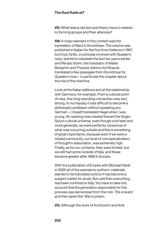**VG:** What status did text and theory have in relation to forming groups and their alliances?

**AN:** A major element in this context was the translation of Marx's *Grundrisse*. The volume was published in Italian for the first time I believe in 1967, but Enzo Grillo, a comrade involved with *Quaderni rossi*, started to translate the text ten years earlier and Renato Solmi, the translator of Walter Benjamin and Theodor Adorno for Einaudi, translated a few passages from *Grundrisse* for *Quaderni rossi* – in particular the chapter about the role of the machine.

Look at the Italian editions and at the relationship with Germany, for example. From a cultural point of view, this long-standing connection was very strong. In my heyday it was difficult to become a philosophy professor without speaking any German – I myself translated Hegel when I was young. An opening was created toward the Anglo-Saxon cultural universe, even though a bit later and more generally, we were perfectly conscious of what was occurring outside and this is something of great importance, because even if we were a closed community, our level of conceptualization, of thought's elaboration, was extremely high. Finally, as for our contacts, they were limited, but we still had some outside of Italy, and these became greater after 1968 in Europe.

With the publication of *Empire* with Michael Hardt in 2000 all of the *operaismo* authors' materials started to be translated and so it has become a subject matter for study. But until then everything had been confined to Italy. You have to take into account that the generation responsible for this process was demonized from the mid-'70s onward and then spent the '80s in prison.

**VG:** Although the work of Archizoom and Arte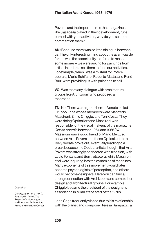Povera, and the important role that magazines like *Casabella* played in their development, runs parallel with your activities, why do you seldom comment on them?

**AN:** Because there was so little dialogue between us. The only interesting thing about the avant-garde for me was the opportunity it offered to make some money – we were asking for paintings from artists in order to sell them to fund our activities. For example, when I was a militant for Potere operaio*,* Mario Schifano, Roberto Matta, and René Burri were providing us with paintings to sell.

**VG:** Was there any dialogue with architectural groups like Archizoom who proposed a theoretical –

**TN:** No. There was a group here in Veneto called Gruppo Enne whose members were Manfredo Massironi, Ennio Chiggio, and Toni Costa. They were doing Optical art and Massironi was responsible for the visual makeup of the magazine *Classe operaia* between 1964 and 1966/67. Massironi was a good friend of Mario Merz, so between Arte Povera and these Optical artists a lively debate broke out, eventually leading to a break because the Optical artists thought that Arte Povera was strongly connected with tradition, with Lucio Fontana and Burri, etcetera, while Massironi et al were inquiring into the dynamics of machines. Many exponents of this movement would later become psychologists of perception, and others would become designers. Here you can find a strong connection with Archizoom and some other design and architectural groups. For example, Chiggio became the president of the designer's association in Milan at the start of the 1970s.

Opposite:

*Contropiano*, no. 2 (1971). Featured in Aureli, *The Project of Autonomy*, n.p. (c) Princeton Architectural Press and the Buell Center.

John Cage frequently visited due to his relationship with the pianist and composer Teresa Rampazzi, a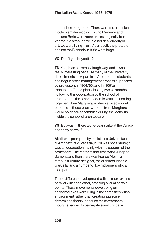comrade in our groups. There was also a musical modernism developing: Bruno Maderna and Luciano Berio were more or less originally from Veneto. So although we did not deal directly in art, we were living in art. As a result, the protests against the Biennale in 1968 were huge.

**VG:** Didn't you boycott it?

**TN:**Yes, in an extremely tough way, and it was really interesting because many of the university departments took part in it. Architecture students had begun a self-management process supported by professors in 1964/65, and in 1967 an "occupation" took place, lasting twelve months. Following this occupation by the school of architecture, the other academies started coming together. Then Marghera workers arrived as well, because in those years workers from Marghera would hold their assemblies during the lockouts inside the school of architecture.

**VG:** But wasn't there a one-year strike at the Venice academy as well?

**AN:** It was prompted by the Istituto Universitario di Architettura di Venezia, but it was not a strike; it was an occupation mainly with the support of the professors. The rector at that time was Giuseppe Samonà and then there was Franco Albini, a famous furniture designer, the architect Ignazio Gardella, and a number of town planners who all took part.

These different developments all ran more or less parallel with each other, crossing over at certain points. These movements developing on horizontal axes were living in the same theoretical environment rather than creating a precise, determined theory, because the movements' thoughts tended to be negative and critical –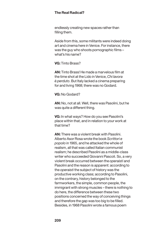endlessly creating new spaces rather than filling them.

Aside from this, some militants were indeed doing art and cinema here in Venice. For instance, there was the guy who shoots pornographic films – what's his name?

**VG:** Tinto Brass?

**AN:** Tinto Brass! He made a marvelous film at the time shot at the Lido in Venice, *Chi lavora è perduto*. But Italy lacked a cinema preparing for and living 1968; there was no Godard.

**VG:** No Godard?

**AN:** No, not at all. Well, there was Pasolini, but he was quite a different thing.

**VG:** In what ways? How do you see Pasolini's place within that, and in relation to your work at that time?

**AN:** There was a violent break with Pasolini. Alberto Asor Rosa wrote the book *Scrittori e popolo* in 1965, and he attacked the whole of realism, all that was called Italian communist realism; he described Pasolini as a middle-class writer who succeeded Giovanni Pascoli. So, a very violent break occurred between the *operaisti* and Pasolini and the reason is apparent: according to the *operaisti* the subject of history was the productive working class; according to Pasolini, on the contrary, history belonged to the farmworkers, the simple, common people, the immigrant with strong muscles – there is nothing to do here, the difference between these two positions concerned the way of conceiving things and therefore the gap was too big to be filled. Besides, in 1968 Pasolini wrote a famous poem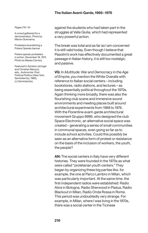#### **The Italian Avant-Garde,1968–1976**

Pages 210-15:

A crowd gathered for a demonstration. Photo by Marion Scemama.

Protesters brandishing a Potere Operaio banner.

Potere operaio protesters in action, November 18, 1972. Photo by Massa Carrara.

Featured in Sylvère Lotringer and Christian Marazzi, eds., *Autonomia: Post-Political Politics* (New York: Semiotext(e), 1980). (c) Semiotext(e).

against the students who had taken part in the struggles at Valle Giulia, which had represented a very powerful action.

The break was total and as far as I am concerned it is still valid today. Even though I believe that Pasolini's work has effectively documented a great passage in Italian history, it is still too nostalgic and passive.

**VG:** In *Multitude: War and Democracy in the Age of Empire*, you mention the White Overalls with reference to Italian social centers – including bookstores, radio stations, and lectures – as being essentially political throughout the 1970s. Again thinking more broadly, there was also the flourishing club scene and immersive sound environments and meeting places built around architectural experiments from 1968 to 1976. With the Florentine avant-garde architectural movement Gruppo 9999, who designed the club Space Electronic, an alternative social space was created – generating a series of small communities in communal spaces, even going so far as to include school activities. Could this possibly be seen as an alternative form of protest or resistance on the basis of the inclusion of workers, the youth, the people?

**AN:** The social centers in Italy have very different histories. They were founded in the 1970s as what were called "proletarian youth centers." They began by organizing these big parties like, for example, the one at Parco Lambro in Milan, which was particularly important. At the same time, the first independent radios were established: Radio Alice in Bologna, Radio Sherwood in Padua, Radio Blackout in Milan, Radio Onda Rossa in Rome. This period was undoubtedly very strange. For example, in Milan, where I was living in the 1970s, there was a social center in the Ticinese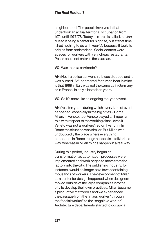neighborhood. The people involved in that undertook an actual territorial occupation from 1974 until 1977/78. Today this area is called *movida* due to it being a center for nightlife, but at that time it had nothing to do with *movida* because it took its origins from proletarians. Social centers were spaces for workers with very cheap restaurants. Police could not enter in these areas.

**VG:** Was there a barricade?

**AN:** No, if a police car went in, it was stopped and it was burned. A fundamental feature to bear in mind is that 1968 in Italy was not the same as in Germany or in France: in Italy it lasted ten years.

**VG:** So it's more like an ongoing ten-year event.

**AN:**Yes, ten years during which every kind of event happened, especially in the big cities – Rome, Milan, in Veneto, too. Veneto played an important role with respect to the working class, even if Veneto was not a workers' region like Turin. In Rome the situation was similar. But Milan was undoubtedly the place where everything happened. In Rome things happen in a folkloristic way, whereas in Milan things happen in a real way.

During this period, industry began its transformation as automation processes were implemented and work began to move from the factory into the city. The publishing industry, for instance, would no longer be a tower containing thousands of workers. The development of Milan as a center for design happened when designers moved outside of the large companies into the city to develop their own practices. Milan became a productive metropolis and we experienced the passage from the "mass worker" through the "social worker" to the "cognitive worker." Architecture departments started to occupy a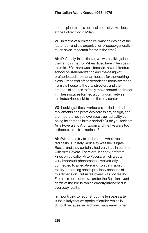central place from a political point of view – look at the Politecnico in Milan.

**VG:** In terms of architecture, was the design of the factories–and theorganizationofspace generally– taken as an important factor at the time?

**AN:** Definitely. In particular, we were talking about the traffic in the city. When I lived here in Venice in the mid-'60s there was a focus in the architecture school on standardization and the design of prefabricated proletarian houses for the working class. At the end of the decade the focus switched from the house to the city structure and the creation of spaces to freely move around and meet in. These spaces formed a continuum between the industrial outskirts and the city center.

**VG:** Looking at these various so-called radical movements and practices across art, design, and architecture, do you even see true radicality as being heightened in this period? Or do you feel that Arte Povera and Archizoom and the like were too orthodox to be true radicals?

**AN:** We should try to understand what true radicality is. In Italy, radicality was the Brigate Rosse, and they certainly had very little in common with Arte Povera. There are, let's say, different kinds of radicality. Arte Povera, which was a very important phenomenon, was strictly connected to a negative and ironical vision of reality, becoming poetic precisely because of this dimension. But Arte Povera was not reality. From this point of view, I prefer the Russian avantgarde of the 1920s, which directly intervened in everyday reality.

I'm now trying to reconstruct the ten years after 1968 in Italy that we spoke of earlier, which is difficult because my archive disappeared when